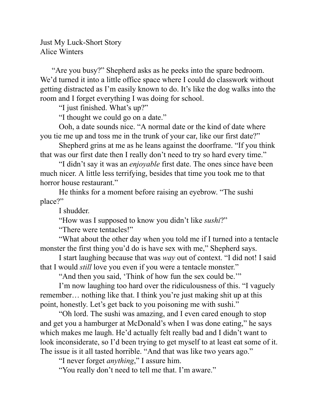Just My Luck-Short Story Alice Winters

 "Are you busy?" Shepherd asks as he peeks into the spare bedroom. We'd turned it into a little office space where I could do classwork without getting distracted as I'm easily known to do. It's like the dog walks into the room and I forget everything I was doing for school.

"I just finished. What's up?"

"I thought we could go on a date."

Ooh, a date sounds nice. "A normal date or the kind of date where you tie me up and toss me in the trunk of your car, like our first date?"

Shepherd grins at me as he leans against the doorframe. "If you think that was our first date then I really don't need to try so hard every time."

"I didn't say it was an *enjoyable* first date. The ones since have been much nicer. A little less terrifying, besides that time you took me to that horror house restaurant."

He thinks for a moment before raising an eyebrow. "The sushi place?"

I shudder.

"How was I supposed to know you didn't like *sushi*?"

"There were tentacles!"

"What about the other day when you told me if I turned into a tentacle monster the first thing you'd do is have sex with me," Shepherd says.

I start laughing because that was *way* out of context. "I did not! I said that I would *still* love you even if you were a tentacle monster."

"And then you said, 'Think of how fun the sex could be.'"

I'm now laughing too hard over the ridiculousness of this. "I vaguely remember… nothing like that. I think you're just making shit up at this point, honestly. Let's get back to you poisoning me with sushi."

"Oh lord. The sushi was amazing, and I even cared enough to stop and get you a hamburger at McDonald's when I was done eating," he says which makes me laugh. He'd actually felt really bad and I didn't want to look inconsiderate, so I'd been trying to get myself to at least eat some of it. The issue is it all tasted horrible. "And that was like two years ago."

"I never forget *anything*," I assure him.

"You really don't need to tell me that. I'm aware."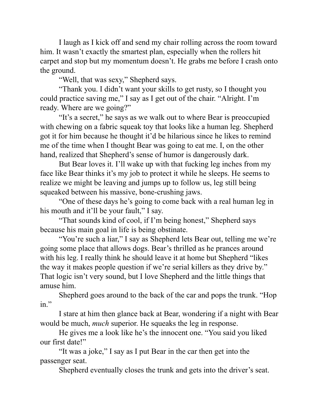I laugh as I kick off and send my chair rolling across the room toward him. It wasn't exactly the smartest plan, especially when the rollers hit carpet and stop but my momentum doesn't. He grabs me before I crash onto the ground.

"Well, that was sexy," Shepherd says.

"Thank you. I didn't want your skills to get rusty, so I thought you could practice saving me," I say as I get out of the chair. "Alright. I'm ready. Where are we going?"

"It's a secret," he says as we walk out to where Bear is preoccupied with chewing on a fabric squeak toy that looks like a human leg. Shepherd got it for him because he thought it'd be hilarious since he likes to remind me of the time when I thought Bear was going to eat me. I, on the other hand, realized that Shepherd's sense of humor is dangerously dark.

But Bear loves it. I'll wake up with that fucking leg inches from my face like Bear thinks it's my job to protect it while he sleeps. He seems to realize we might be leaving and jumps up to follow us, leg still being squeaked between his massive, bone-crushing jaws.

"One of these days he's going to come back with a real human leg in his mouth and it'll be your fault," I say.

"That sounds kind of cool, if I'm being honest," Shepherd says because his main goal in life is being obstinate.

"You're such a liar," I say as Shepherd lets Bear out, telling me we're going some place that allows dogs. Bear's thrilled as he prances around with his leg. I really think he should leave it at home but Shepherd "likes" the way it makes people question if we're serial killers as they drive by." That logic isn't very sound, but I love Shepherd and the little things that amuse him.

Shepherd goes around to the back of the car and pops the trunk. "Hop in."

I stare at him then glance back at Bear, wondering if a night with Bear would be much, *much* superior. He squeaks the leg in response.

He gives me a look like he's the innocent one. "You said you liked our first date!"

"It was a joke," I say as I put Bear in the car then get into the passenger seat.

Shepherd eventually closes the trunk and gets into the driver's seat.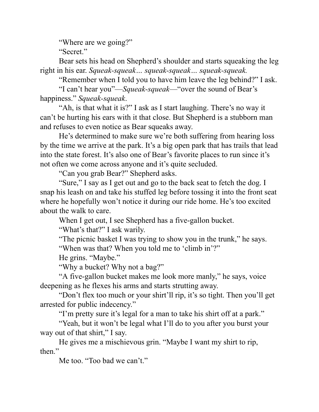"Where are we going?"

"Secret."

Bear sets his head on Shepherd's shoulder and starts squeaking the leg right in his ear. *Squeak-squeak… squeak-squeak… squeak-squeak.*

"Remember when I told you to have him leave the leg behind?" I ask.

"I can't hear you"—*Squeak-squeak*—"over the sound of Bear's happiness." *Squeak-squeak*.

"Ah, is that what it is?" I ask as I start laughing. There's no way it can't be hurting his ears with it that close. But Shepherd is a stubborn man and refuses to even notice as Bear squeaks away.

He's determined to make sure we're both suffering from hearing loss by the time we arrive at the park. It's a big open park that has trails that lead into the state forest. It's also one of Bear's favorite places to run since it's not often we come across anyone and it's quite secluded.

"Can you grab Bear?" Shepherd asks.

"Sure," I say as I get out and go to the back seat to fetch the dog. I snap his leash on and take his stuffed leg before tossing it into the front seat where he hopefully won't notice it during our ride home. He's too excited about the walk to care.

When I get out, I see Shepherd has a five-gallon bucket.

"What's that?" I ask warily.

"The picnic basket I was trying to show you in the trunk," he says. "When was that? When you told me to 'climb in'?"

He grins. "Maybe."

"Why a bucket? Why not a bag?"

"A five-gallon bucket makes me look more manly," he says, voice deepening as he flexes his arms and starts strutting away.

"Don't flex too much or your shirt'll rip, it's so tight. Then you'll get arrested for public indecency."

"I'm pretty sure it's legal for a man to take his shirt off at a park."

"Yeah, but it won't be legal what I'll do to you after you burst your way out of that shirt," I say.

He gives me a mischievous grin. "Maybe I want my shirt to rip, then."

Me too. "Too bad we can't."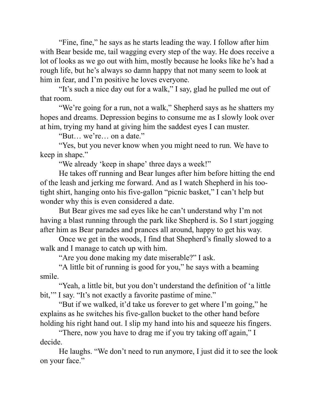"Fine, fine," he says as he starts leading the way. I follow after him with Bear beside me, tail wagging every step of the way. He does receive a lot of looks as we go out with him, mostly because he looks like he's had a rough life, but he's always so damn happy that not many seem to look at him in fear, and I'm positive he loves everyone.

"It's such a nice day out for a walk," I say, glad he pulled me out of that room.

"We're going for a run, not a walk," Shepherd says as he shatters my hopes and dreams. Depression begins to consume me as I slowly look over at him, trying my hand at giving him the saddest eyes I can muster.

"But… we're… on a date."

"Yes, but you never know when you might need to run. We have to keep in shape."

"We already 'keep in shape' three days a week!"

He takes off running and Bear lunges after him before hitting the end of the leash and jerking me forward. And as I watch Shepherd in his tootight shirt, hanging onto his five-gallon "picnic basket," I can't help but wonder why this is even considered a date.

But Bear gives me sad eyes like he can't understand why I'm not having a blast running through the park like Shepherd is. So I start jogging after him as Bear parades and prances all around, happy to get his way.

Once we get in the woods, I find that Shepherd's finally slowed to a walk and I manage to catch up with him.

"Are you done making my date miserable?" I ask.

"A little bit of running is good for you," he says with a beaming smile.

"Yeah, a little bit, but you don't understand the definition of 'a little bit," I say. "It's not exactly a favorite pastime of mine."

"But if we walked, it'd take us forever to get where I'm going," he explains as he switches his five-gallon bucket to the other hand before holding his right hand out. I slip my hand into his and squeeze his fingers.

"There, now you have to drag me if you try taking off again," I decide.

He laughs. "We don't need to run anymore, I just did it to see the look on your face."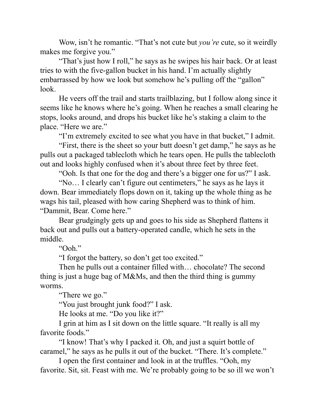Wow, isn't he romantic. "That's not cute but *you're* cute, so it weirdly makes me forgive you."

"That's just how I roll," he says as he swipes his hair back. Or at least tries to with the five-gallon bucket in his hand. I'm actually slightly embarrassed by how we look but somehow he's pulling off the "gallon" look.

He veers off the trail and starts trailblazing, but I follow along since it seems like he knows where he's going. When he reaches a small clearing he stops, looks around, and drops his bucket like he's staking a claim to the place. "Here we are."

"I'm extremely excited to see what you have in that bucket," I admit.

"First, there is the sheet so your butt doesn't get damp," he says as he pulls out a packaged tablecloth which he tears open. He pulls the tablecloth out and looks highly confused when it's about three feet by three feet.

"Ooh. Is that one for the dog and there's a bigger one for us?" I ask.

"No… I clearly can't figure out centimeters," he says as he lays it down. Bear immediately flops down on it, taking up the whole thing as he wags his tail, pleased with how caring Shepherd was to think of him. "Dammit, Bear. Come here."

Bear grudgingly gets up and goes to his side as Shepherd flattens it back out and pulls out a battery-operated candle, which he sets in the middle.

"Ooh."

"I forgot the battery, so don't get too excited."

Then he pulls out a container filled with… chocolate? The second thing is just a huge bag of M&Ms, and then the third thing is gummy worms.

"There we go."

"You just brought junk food?" I ask.

He looks at me. "Do you like it?"

I grin at him as I sit down on the little square. "It really is all my favorite foods."

"I know! That's why I packed it. Oh, and just a squirt bottle of caramel," he says as he pulls it out of the bucket. "There. It's complete."

I open the first container and look in at the truffles. "Ooh, my favorite. Sit, sit. Feast with me. We're probably going to be so ill we won't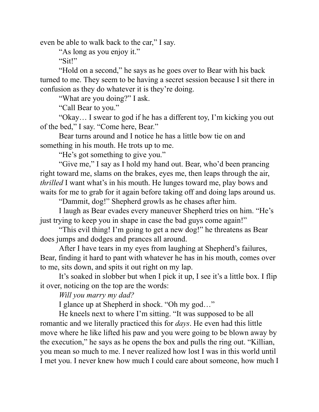even be able to walk back to the car," I say.

"As long as you enjoy it."

"Sit!"

"Hold on a second," he says as he goes over to Bear with his back turned to me. They seem to be having a secret session because I sit there in confusion as they do whatever it is they're doing.

"What are you doing?" I ask.

"Call Bear to you."

"Okay… I swear to god if he has a different toy, I'm kicking you out of the bed," I say. "Come here, Bear."

Bear turns around and I notice he has a little bow tie on and something in his mouth. He trots up to me.

"He's got something to give you."

"Give me," I say as I hold my hand out. Bear, who'd been prancing right toward me, slams on the brakes, eyes me, then leaps through the air, *thrilled* I want what's in his mouth. He lunges toward me, play bows and waits for me to grab for it again before taking off and doing laps around us.

"Dammit, dog!" Shepherd growls as he chases after him.

I laugh as Bear evades every maneuver Shepherd tries on him. "He's just trying to keep you in shape in case the bad guys come again!"

"This evil thing! I'm going to get a new dog!" he threatens as Bear does jumps and dodges and prances all around.

After I have tears in my eyes from laughing at Shepherd's failures, Bear, finding it hard to pant with whatever he has in his mouth, comes over to me, sits down, and spits it out right on my lap.

It's soaked in slobber but when I pick it up, I see it's a little box. I flip it over, noticing on the top are the words:

*Will you marry my dad?*

I glance up at Shepherd in shock. "Oh my god…"

He kneels next to where I'm sitting. "It was supposed to be all romantic and we literally practiced this for *days*. He even had this little move where he like lifted his paw and you were going to be blown away by the execution," he says as he opens the box and pulls the ring out. "Killian, you mean so much to me. I never realized how lost I was in this world until I met you. I never knew how much I could care about someone, how much I